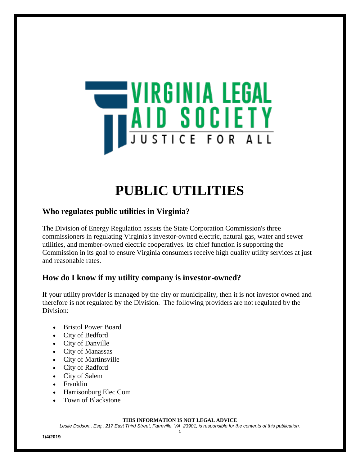

# **PUBLIC UTILITIES**

## **Who regulates public utilities in Virginia?**

The Division of Energy Regulation assists the State Corporation Commission's three commissioners in regulating Virginia's investor-owned electric, natural gas, water and sewer utilities, and member-owned electric cooperatives. Its chief function is supporting the Commission in its goal to ensure Virginia consumers receive high quality utility services at just and reasonable rates.

## **How do I know if my utility company is investor-owned?**

If your utility provider is managed by the city or municipality, then it is not investor owned and therefore is not regulated by the Division. The following providers are not regulated by the Division:

- Bristol Power Board
- City of Bedford
- City of Danville
- City of Manassas
- City of Martinsville
- City of Radford
- City of Salem
- Franklin
- Harrisonburg Elec Com
- Town of Blackstone

#### **THIS INFORMATION IS NOT LEGAL ADVICE**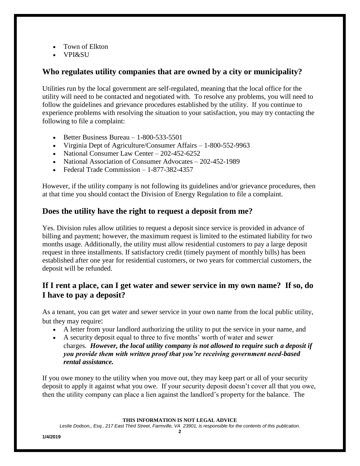- Town of Elkton
- VPI&SU

### **Who regulates utility companies that are owned by a city or municipality?**

Utilities run by the local government are self-regulated, meaning that the local office for the utility will need to be contacted and negotiated with. To resolve any problems, you will need to follow the guidelines and grievance procedures established by the utility. If you continue to experience problems with resolving the situation to your satisfaction, you may try contacting the following to file a complaint:

- Better Business Bureau  $-1-800-533-5501$
- Virginia Dept of Agriculture/Consumer Affairs 1-800-552-9963
- National Consumer Law Center 202-452-6252
- National Association of Consumer Advocates 202-452-1989
- Federal Trade Commission 1-877-382-4357

However, if the utility company is not following its guidelines and/or grievance procedures, then at that time you should contact the Division of Energy Regulation to file a complaint.

### **Does the utility have the right to request a deposit from me?**

Yes. Division rules allow utilities to request a deposit since service is provided in advance of billing and payment; however, the maximum request is limited to the estimated liability for two months usage. Additionally, the utility must allow residential customers to pay a large deposit request in three installments. If satisfactory credit (timely payment of monthly bills) has been established after one year for residential customers, or two years for commercial customers, the deposit will be refunded.

## **If I rent a place, can I get water and sewer service in my own name? If so, do I have to pay a deposit?**

As a tenant, you can get water and sewer service in your own name from the local public utility, but they may require:

- A letter from your landlord authorizing the utility to put the service in your name, and
- A security deposit equal to three to five months' worth of water and sewer charges. *However, the local utility company is not allowed to require such a deposit if you provide them with written proof that you're receiving government need-based rental assistance.*

If you owe money to the utility when you move out, they may keep part or all of your security deposit to apply it against what you owe. If your security deposit doesn't cover all that you owe, then the utility company can place a lien against the landlord's property for the balance. The

**THIS INFORMATION IS NOT LEGAL ADVICE**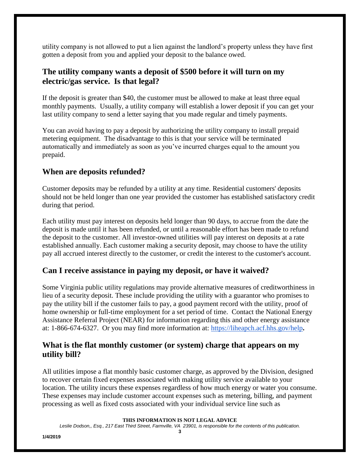utility company is not allowed to put a lien against the landlord's property unless they have first gotten a deposit from you and applied your deposit to the balance owed.

## **The utility company wants a deposit of \$500 before it will turn on my electric/gas service. Is that legal?**

If the deposit is greater than \$40, the customer must be allowed to make at least three equal monthly payments. Usually, a utility company will establish a lower deposit if you can get your last utility company to send a letter saying that you made regular and timely payments.

You can avoid having to pay a deposit by authorizing the utility company to install prepaid metering equipment. The disadvantage to this is that your service will be terminated automatically and immediately as soon as you've incurred charges equal to the amount you prepaid.

### **When are deposits refunded?**

Customer deposits may be refunded by a utility at any time. Residential customers' deposits should not be held longer than one year provided the customer has established satisfactory credit during that period.

Each utility must pay interest on deposits held longer than 90 days, to accrue from the date the deposit is made until it has been refunded, or until a reasonable effort has been made to refund the deposit to the customer. All investor-owned utilities will pay interest on deposits at a rate established annually. Each customer making a security deposit, may choose to have the utility pay all accrued interest directly to the customer, or credit the interest to the customer's account.

#### **Can I receive assistance in paying my deposit, or have it waived?**

Some Virginia public utility regulations may provide alternative measures of creditworthiness in lieu of a security deposit. These include providing the utility with a guarantor who promises to pay the utility bill if the customer fails to pay, a good payment record with the utility, proof of home ownership or full-time employment for a set period of time. Contact the National Energy Assistance Referral Project (NEAR) for information regarding this and other energy assistance at: 1-866-674-6327. Or you may find more information at:<https://liheapch.acf.hhs.gov/help>**.**

### **What is the flat monthly customer (or system) charge that appears on my utility bill?**

All utilities impose a flat monthly basic customer charge, as approved by the Division, designed to recover certain fixed expenses associated with making utility service available to your location. The utility incurs these expenses regardless of how much energy or water you consume. These expenses may include customer account expenses such as metering, billing, and payment processing as well as fixed costs associated with your individual service line such as

**THIS INFORMATION IS NOT LEGAL ADVICE**

*Leslie Dodson,, Esq., 217 East Third Street, Farmville, VA 23901, is responsible for the contents of this publication.* **3**

**1/4/2019**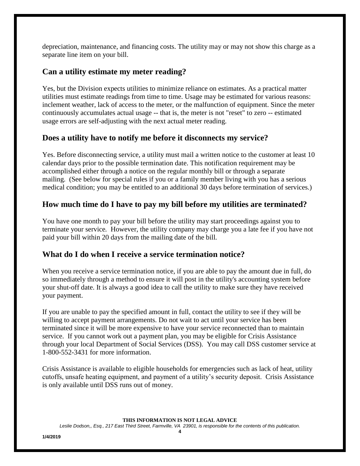depreciation, maintenance, and financing costs. The utility may or may not show this charge as a separate line item on your bill.

### **Can a utility estimate my meter reading?**

Yes, but the Division expects utilities to minimize reliance on estimates. As a practical matter utilities must estimate readings from time to time. Usage may be estimated for various reasons: inclement weather, lack of access to the meter, or the malfunction of equipment. Since the meter continuously accumulates actual usage -- that is, the meter is not "reset" to zero -- estimated usage errors are self-adjusting with the next actual meter reading.

### **Does a utility have to notify me before it disconnects my service?**

Yes. Before disconnecting service, a utility must mail a written notice to the customer at least 10 calendar days prior to the possible termination date. This notification requirement may be accomplished either through a notice on the regular monthly bill or through a separate mailing. (See below for special rules if you or a family member living with you has a serious medical condition; you may be entitled to an additional 30 days before termination of services.)

### **How much time do I have to pay my bill before my utilities are terminated?**

You have one month to pay your bill before the utility may start proceedings against you to terminate your service*.* However, the utility company may charge you a late fee if you have not paid your bill within 20 days from the mailing date of the bill*.*

#### **What do I do when I receive a service termination notice?**

When you receive a service termination notice, if you are able to pay the amount due in full, do so immediately through a method to ensure it will post in the utility's accounting system before your shut-off date. It is always a good idea to call the utility to make sure they have received your payment.

If you are unable to pay the specified amount in full, contact the utility to see if they will be willing to accept payment arrangements. Do not wait to act until your service has been terminated since it will be more expensive to have your service reconnected than to maintain service. If you cannot work out a payment plan, you may be eligible for Crisis Assistance through your local Department of Social Services (DSS). You may call DSS customer service at 1-800-552-3431 for more information.

Crisis Assistance is available to eligible households for emergencies such as lack of heat, utility cutoffs, unsafe heating equipment, and payment of a utility's security deposit. Crisis Assistance is only available until DSS runs out of money.

**THIS INFORMATION IS NOT LEGAL ADVICE**

*Leslie Dodson,, Esq., 217 East Third Street, Farmville, VA 23901, is responsible for the contents of this publication.* **4**

**1/4/2019**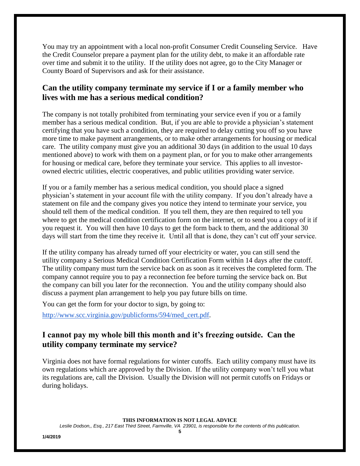You may try an appointment with a local non-profit Consumer Credit Counseling Service. Have the Credit Counselor prepare a payment plan for the utility debt, to make it an affordable rate over time and submit it to the utility. If the utility does not agree, go to the City Manager or County Board of Supervisors and ask for their assistance.

### **Can the utility company terminate my service if I or a family member who lives with me has a serious medical condition?**

The company is not totally prohibited from terminating your service even if you or a family member has a serious medical condition. But, if you are able to provide a physician's statement certifying that you have such a condition, they are required to delay cutting you off so you have more time to make payment arrangements, or to make other arrangements for housing or medical care. The utility company must give you an additional 30 days (in addition to the usual 10 days mentioned above) to work with them on a payment plan, or for you to make other arrangements for housing or medical care, before they terminate your service. This applies to all investorowned electric utilities, electric cooperatives, and public utilities providing water service.

If you or a family member has a serious medical condition, you should place a signed physician's statement in your account file with the utility company. If you don't already have a statement on file and the company gives you notice they intend to terminate your service, you should tell them of the medical condition. If you tell them, they are then required to tell you where to get the medical condition certification form on the internet, or to send you a copy of it if you request it. You will then have 10 days to get the form back to them, and the additional 30 days will start from the time they receive it. Until all that is done, they can't cut off your service.

If the utility company has already turned off your electricity or water, you can still send the utility company a Serious Medical Condition Certification Form within 14 days after the cutoff. The utility company must turn the service back on as soon as it receives the completed form. The company cannot require you to pay a reconnection fee before turning the service back on. But the company can bill you later for the reconnection. You and the utility company should also discuss a payment plan arrangement to help you pay future bills on time.

You can get the form for your doctor to sign, by going to:

[http://www.scc.virginia.gov/publicforms/594/med\\_cert.pdf.](http://www.scc.virginia.gov/publicforms/594/med_cert.pdf)

## **I cannot pay my whole bill this month and it's freezing outside. Can the utility company terminate my service?**

Virginia does not have formal regulations for winter cutoffs. Each utility company must have its own regulations which are approved by the Division. If the utility company won't tell you what its regulations are, call the Division. Usually the Division will not permit cutoffs on Fridays or during holidays.

**THIS INFORMATION IS NOT LEGAL ADVICE**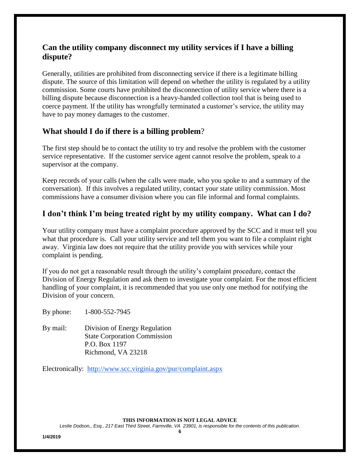## **Can the utility company disconnect my utility services if I have a billing dispute?**

Generally, utilities are prohibited from disconnecting service if there is a legitimate billing dispute. The source of this limitation will depend on whether the utility is regulated by a utility commission. Some courts have prohibited the disconnection of utility service where there is a billing dispute because disconnection is a heavy-handed collection tool that is being used to coerce payment. If the utility has wrongfully terminated a customer's service, the utility may have to pay money damages to the customer.

### **What should I do if there is a billing problem**?

The first step should be to contact the utility to try and resolve the problem with the customer service representative. If the customer service agent cannot resolve the problem, speak to a supervisor at the company.

Keep records of your calls (when the calls were made, who you spoke to and a summary of the conversation). If this involves a regulated utility, contact your state utility commission. Most commissions have a consumer division where you can file informal and formal complaints.

## **I don't think I'm being treated right by my utility company. What can I do?**

Your utility company must have a complaint procedure approved by the SCC and it must tell you what that procedure is. Call your utility service and tell them you want to file a complaint right away. Virginia law does not require that the utility provide you with services while your complaint is pending.

If you do not get a reasonable result through the utility's complaint procedure, contact the Division of Energy Regulation and ask them to investigate your complaint. For the most efficient handling of your complaint, it is recommended that you use only one method for notifying the Division of your concern.

By phone: 1-800-552-7945

By mail: Division of Energy Regulation State Corporation Commission P.O. Box 1197 Richmond, VA 23218

Electronically: <http://www.scc.virginia.gov/pur/complaint.aspx>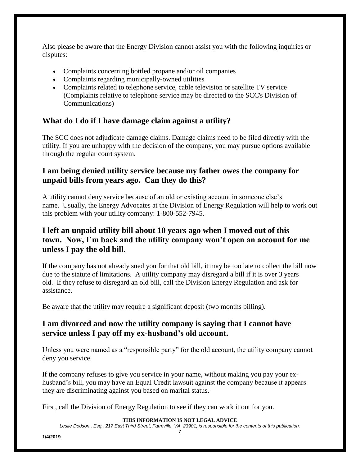Also please be aware that the Energy Division cannot assist you with the following inquiries or disputes:

- Complaints concerning bottled propane and/or oil companies
- Complaints regarding municipally-owned utilities
- Complaints related to telephone service, cable television or satellite TV service (Complaints relative to telephone service may be directed to the SCC's Division of Communications)

# **What do I do if I have damage claim against a utility?**

The SCC does not adjudicate damage claims. Damage claims need to be filed directly with the utility. If you are unhappy with the decision of the company, you may pursue options available through the regular court system.

## **I am being denied utility service because my father owes the company for unpaid bills from years ago. Can they do this?**

A utility cannot deny service because of an old or existing account in someone else's name. Usually, the Energy Advocates at the Division of Energy Regulation will help to work out this problem with your utility company: 1-800-552-7945.

## **I left an unpaid utility bill about 10 years ago when I moved out of this town. Now, I'm back and the utility company won't open an account for me unless I pay the old bill.**

If the company has not already sued you for that old bill, it may be too late to collect the bill now due to the statute of limitations. A utility company may disregard a bill if it is over 3 years old. If they refuse to disregard an old bill, call the Division Energy Regulation and ask for assistance.

Be aware that the utility may require a significant deposit (two months billing).

## **I am divorced and now the utility company is saying that I cannot have service unless I pay off my ex-husband's old account.**

Unless you were named as a "responsible party" for the old account, the utility company cannot deny you service.

If the company refuses to give you service in your name, without making you pay your exhusband's bill, you may have an Equal Credit lawsuit against the company because it appears they are discriminating against you based on marital status.

First, call the Division of Energy Regulation to see if they can work it out for you.

#### **THIS INFORMATION IS NOT LEGAL ADVICE**

*Leslie Dodson,, Esq., 217 East Third Street, Farmville, VA 23901, is responsible for the contents of this publication.* **7**

**1/4/2019**